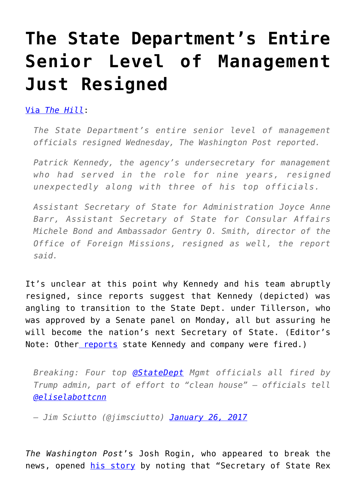## **[The State Department's Entire](https://intellectualtakeout.org/2017/01/the-state-departments-entire-senior-level-of-management-just-resigned/) [Senior Level of Management](https://intellectualtakeout.org/2017/01/the-state-departments-entire-senior-level-of-management-just-resigned/) [Just Resigned](https://intellectualtakeout.org/2017/01/the-state-departments-entire-senior-level-of-management-just-resigned/)**

[Via](http://thehill.com/policy/national-security/316283-state-departments-senior-management-team-resigns-report) *[The Hill](http://thehill.com/policy/national-security/316283-state-departments-senior-management-team-resigns-report)*:

*The State Department's entire senior level of management officials resigned Wednesday, The Washington Post reported.*

*Patrick Kennedy, the agency's undersecretary for management who had served in the role for nine years, resigned unexpectedly along with three of his top officials.*

*Assistant Secretary of State for Administration Joyce Anne Barr, Assistant Secretary of State for Consular Affairs Michele Bond and Ambassador Gentry O. Smith, director of the Office of Foreign Missions, resigned as well, the report said.*

It's unclear at this point why Kennedy and his team abruptly resigned, since reports suggest that Kennedy (depicted) was angling to transition to the State Dept. under Tillerson, who was approved by a Senate panel on Monday, all but assuring he will become the nation's next Secretary of State. (Editor's Note: Other [reports](http://hotair.com/archives/2017/01/26/patrick-kennedy-and-three-top-state-department-officials-resign/) state Kennedy and company were fired.)

*Breaking: Four top [@StateDept](https://twitter.com/StateDept) Mgmt officials all fired by Trump admin, part of effort to "clean house" – officials tell [@eliselabottcnn](https://twitter.com/eliselabottcnn)*

*— Jim Sciutto (@jimsciutto) [January 26, 2017](https://twitter.com/jimsciutto/status/824675990983110656)*

*The Washington Post*'s Josh Rogin, who appeared to break the news, opened [his story](https://www.washingtonpost.com/news/josh-rogin/wp/2017/01/26/the-state-departments-entire-senior-management-team-just-resigned/?utm_term=.5355c0a0fc6b) by noting that "Secretary of State Rex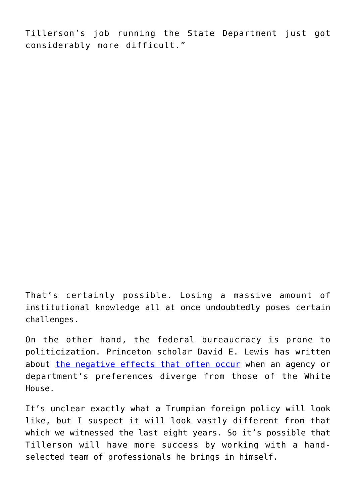Tillerson's job running the State Department just got considerably more difficult."

That's certainly possible. Losing a massive amount of institutional knowledge all at once undoubtedly poses certain challenges.

On the other hand, the federal bureaucracy is prone to politicization. Princeton scholar David E. Lewis has written about [the negative effects that often occur](http://www.nyu.edu/gsas/dept/politics/seminars/lewis_s06.pdf) when an agency or department's preferences diverge from those of the White House.

It's unclear exactly what a Trumpian foreign policy will look like, but I suspect it will look vastly different from that which we witnessed the last eight years. So it's possible that Tillerson will have more success by working with a handselected team of professionals he brings in himself.